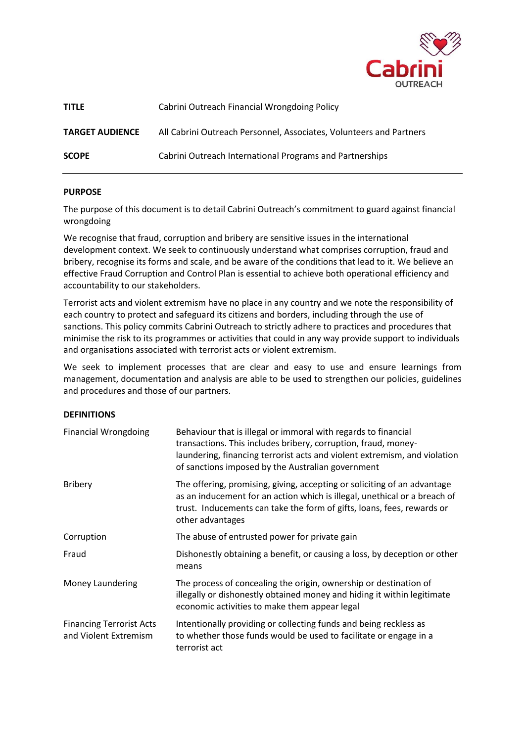

| <b>TITLE</b>           | Cabrini Outreach Financial Wrongdoing Policy                        |
|------------------------|---------------------------------------------------------------------|
| <b>TARGET AUDIENCE</b> | All Cabrini Outreach Personnel, Associates, Volunteers and Partners |
| <b>SCOPE</b>           | Cabrini Outreach International Programs and Partnerships            |

## **PURPOSE**

The purpose of this document is to detail Cabrini Outreach's commitment to guard against financial wrongdoing

We recognise that fraud, corruption and bribery are sensitive issues in the international development context. We seek to continuously understand what comprises corruption, fraud and bribery, recognise its forms and scale, and be aware of the conditions that lead to it. We believe an effective Fraud Corruption and Control Plan is essential to achieve both operational efficiency and accountability to our stakeholders.

Terrorist acts and violent extremism have no place in any country and we note the responsibility of each country to protect and safeguard its citizens and borders, including through the use of sanctions. This policy commits Cabrini Outreach to strictly adhere to practices and procedures that minimise the risk to its programmes or activities that could in any way provide support to individuals and organisations associated with terrorist acts or violent extremism.

We seek to implement processes that are clear and easy to use and ensure learnings from management, documentation and analysis are able to be used to strengthen our policies, guidelines and procedures and those of our partners.

## **DEFINITIONS**

| <b>Financial Wrongdoing</b>                              | Behaviour that is illegal or immoral with regards to financial<br>transactions. This includes bribery, corruption, fraud, money-<br>laundering, financing terrorist acts and violent extremism, and violation<br>of sanctions imposed by the Australian government |  |
|----------------------------------------------------------|--------------------------------------------------------------------------------------------------------------------------------------------------------------------------------------------------------------------------------------------------------------------|--|
| <b>Bribery</b>                                           | The offering, promising, giving, accepting or soliciting of an advantage<br>as an inducement for an action which is illegal, unethical or a breach of<br>trust. Inducements can take the form of gifts, loans, fees, rewards or<br>other advantages                |  |
| Corruption                                               | The abuse of entrusted power for private gain                                                                                                                                                                                                                      |  |
| Fraud                                                    | Dishonestly obtaining a benefit, or causing a loss, by deception or other<br>means                                                                                                                                                                                 |  |
| Money Laundering                                         | The process of concealing the origin, ownership or destination of<br>illegally or dishonestly obtained money and hiding it within legitimate<br>economic activities to make them appear legal                                                                      |  |
| <b>Financing Terrorist Acts</b><br>and Violent Extremism | Intentionally providing or collecting funds and being reckless as<br>to whether those funds would be used to facilitate or engage in a<br>terrorist act                                                                                                            |  |